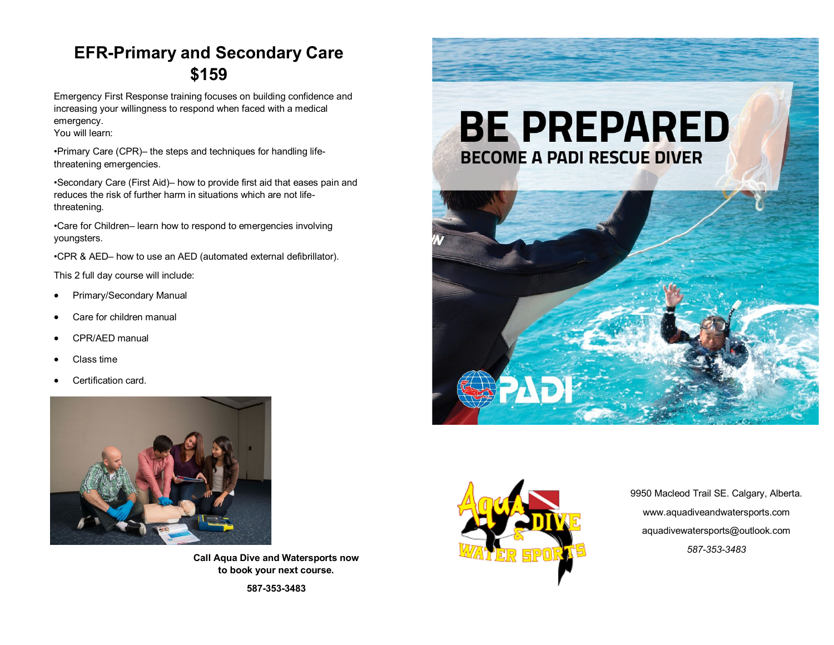# **EFR-Primary and Secondary Care \$159**

Emergency First Response training focuses on building confidence and increasing your willingness to respond when faced with a medical emergency.

You will learn:

•Primary Care (CPR)– the steps and techniques for handling lifethreatening emergencies.

•Secondary Care (First Aid)– how to provide first aid that eases pain and reduces the risk of further harm in situations which are not lifethreatening.

•Care for Children– learn how to respond to emergencies involving youngsters.

•CPR & AED– how to use an AED (automated external defibrillator).

This 2 full day course will include:

- Primary/Secondary Manual
- Care for children manual
- CPR/AED manual
- Class time
- Certification card.



**Call Aqua Dive and Watersports now to book your next course.** 

**587-353-3483**







9950 Macleod Trail SE. Calgary, Alberta. www.aquadiveandwatersports.com aquadivewatersports@outlook.com *587-353-3483*